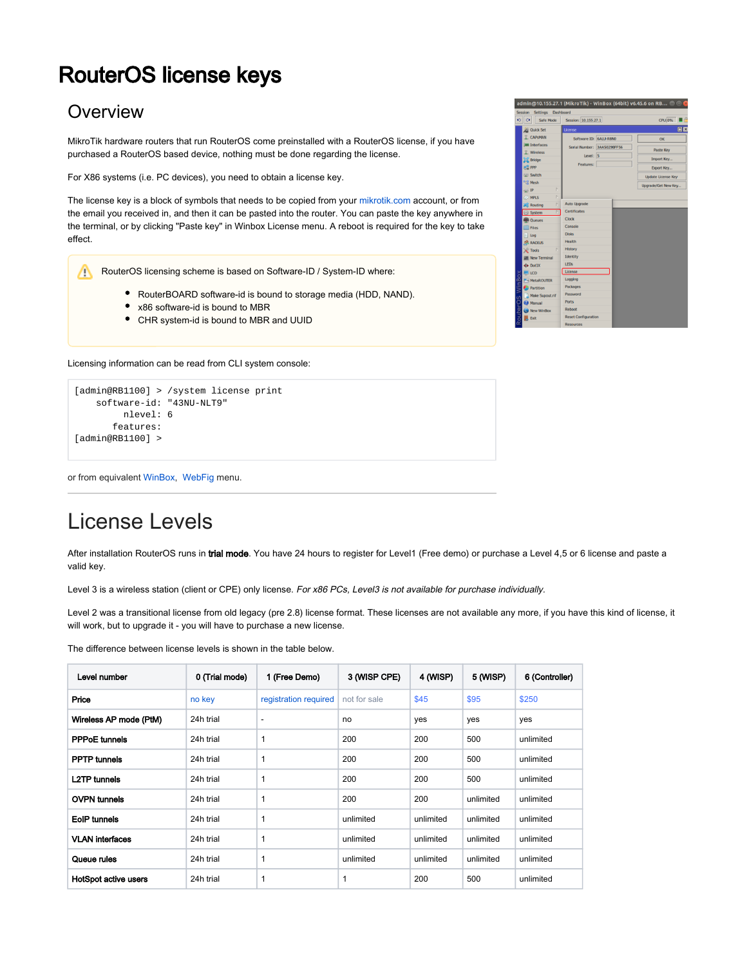# RouterOS license keys

### **Overview**

MikroTik hardware routers that run RouterOS come preinstalled with a RouterOS license, if you have purchased a RouterOS based device, nothing must be done regarding the license.

For X86 systems (i.e. PC devices), you need to obtain a license key.

The license key is a block of symbols that needs to be copied from your [mikrotik.com](https://mikrotik.com) account, or from the email you received in, and then it can be pasted into the router. You can paste the key anywhere in the terminal, or by clicking "Paste key" in Winbox License menu. A reboot is required for the key to take effect.

RouterOS licensing scheme is based on Software-ID / System-ID where:

- RouterBOARD software-id is bound to storage media (HDD, NAND).
- x86 software-id is bound to MBR
- CHR system-id is bound to MBR and UUID

Licensing information can be read from CLI system console:

```
[admin@RB1100] > /system license print 
    software-id: "43NU-NLT9"
         nlevel: 6
        features: 
[admin@RB1100] >
```
or from equivalent [WinBox](https://help.mikrotik.com/docs/display/ROS7/Winbox), [WebFig](https://help.mikrotik.com/docs/display/ROS7/Webfig) menu.

# License Levels

After installation RouterOS runs in trial mode. You have 24 hours to register for Level1 (Free demo) or purchase a Level 4,5 or 6 license and paste a valid key.

Level 3 is a wireless station (client or CPE) only license. For x86 PCs, Level3 is not available for purchase individually.

Level 2 was a transitional license from old legacy (pre 2.8) license format. These licenses are not available any more, if you have this kind of license, it will work, but to upgrade it - you will have to purchase a new license.

The difference between license levels is shown in the table below.

| Level number                | 0 (Trial mode) | 1 (Free Demo)         | 3 (WISP CPE) | 4 (WISP)  | 5 (WISP)  | 6 (Controller) |
|-----------------------------|----------------|-----------------------|--------------|-----------|-----------|----------------|
| Price                       | no key         | registration required | not for sale | \$45      | \$95      | \$250          |
| Wireless AP mode (PtM)      | 24h trial      |                       | no           | yes       | yes       | yes            |
| <b>PPPoE</b> tunnels        | 24h trial      | 1                     | 200          | 200       | 500       | unlimited      |
| <b>PPTP</b> tunnels         | 24h trial      | 1                     | 200          | 200       | 500       | unlimited      |
| <b>L2TP</b> tunnels         | 24h trial      | 1                     | 200          | 200       | 500       | unlimited      |
| <b>OVPN tunnels</b>         | 24h trial      | $\mathbf{1}$          | 200          | 200       | unlimited | unlimited      |
| EoIP tunnels                | 24h trial      | 1                     | unlimited    | unlimited | unlimited | unlimited      |
| <b>VLAN</b> interfaces      | 24h trial      | 1                     | unlimited    | unlimited | unlimited | unlimited      |
| Queue rules                 | 24h trial      | 1                     | unlimited    | unlimited | unlimited | unlimited      |
| <b>HotSpot active users</b> | 24h trial      | 1                     | 1            | 200       | 500       | unlimited      |

|          | Session                          | Settings                              | Dashboard                   |  |                           |
|----------|----------------------------------|---------------------------------------|-----------------------------|--|---------------------------|
| ച∥       | $\alpha$                         | <b>Safe Mode</b>                      | Session: 10.155.27.1        |  | CPU:0%                    |
|          |                                  | <b>All Quick Set</b>                  | License                     |  | 回区                        |
|          |                                  | <b>T CAPSMAN</b>                      | Software ID: 6ALU-R8N0      |  | OK                        |
|          |                                  | <b>IMM</b> Interfaces<br>$T$ Wireless | Serial Number: 3AA5029BFF56 |  | <b>Paste Key</b>          |
|          | $\mathbb{R}$ Bridge              |                                       | Level: 5                    |  | Import Key                |
|          | <b>PE PPP</b>                    |                                       | Features:                   |  | Export Key                |
|          | <b>Switch</b>                    |                                       |                             |  |                           |
|          | <sup>o</sup> <sub>l</sub> g Mesh |                                       |                             |  | <b>Update License Key</b> |
|          | <b>REE</b> IP                    | b.                                    |                             |  | Upgrade/Get New Key       |
|          | $\oslash$ MPLS                   |                                       |                             |  |                           |
|          |                                  | <b>Routing</b>                        | <b>Auto Upgrade</b>         |  |                           |
|          | System                           |                                       | <b>Certificates</b>         |  |                           |
|          |                                  | <b>Queues</b>                         | Clock                       |  |                           |
|          |                                  | Files                                 | Console                     |  |                           |
|          | Log<br>ы                         |                                       | <b>Disks</b>                |  |                           |
|          |                                  | <b>CP RADIUS</b>                      | Health                      |  |                           |
|          | <b>Tools</b>                     | N                                     | <b>History</b>              |  |                           |
|          |                                  | New Terminal                          | Identity                    |  |                           |
|          | <b>≮≯</b> Dot1X                  |                                       | <b>LEDs</b>                 |  |                           |
|          | <b>LE LCD</b>                    |                                       | License                     |  |                           |
| XOSIUMIN |                                  | <b>MetaROUTER</b>                     | Logging                     |  |                           |
|          |                                  | <b>Partition</b>                      | Packages                    |  |                           |
| ś        |                                  | A Make Supout.rif                     | Password                    |  |                           |
|          | <b><i>B</i></b> Manual           |                                       | <b>Ports</b><br>Reboot      |  |                           |
| hean     |                                  | <b>New WinBox</b>                     | <b>Reset Configuration</b>  |  |                           |
| Y        | <b>Exit</b>                      |                                       | <b>Resources</b>            |  |                           |
|          |                                  |                                       |                             |  |                           |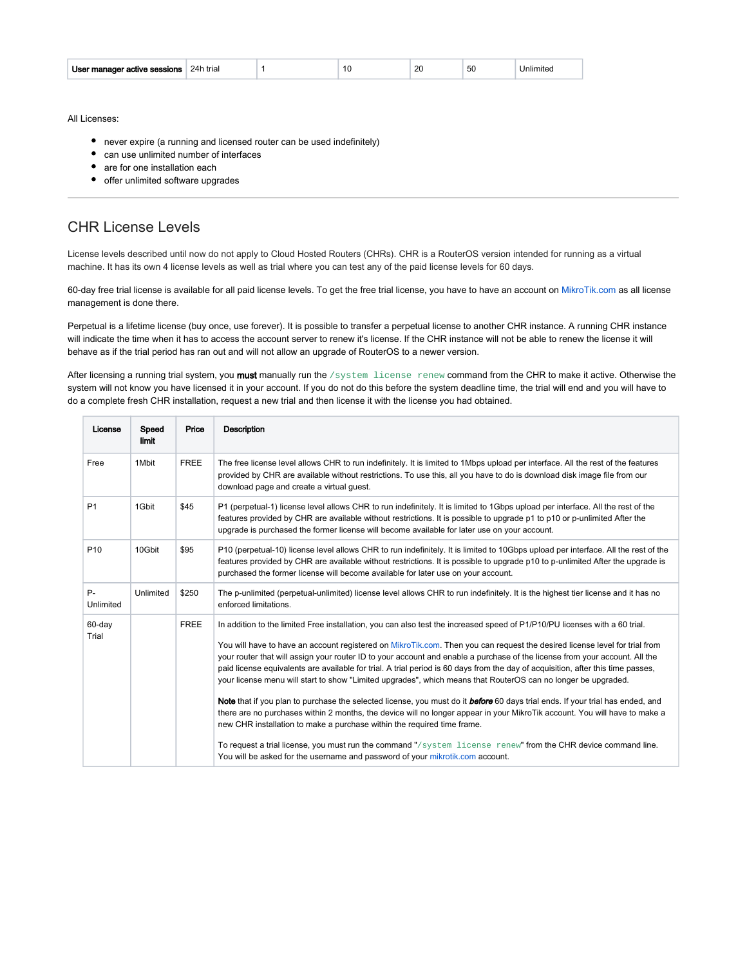| User manager active sessions | 24h trial |  |  | or | ้วน | niimit |
|------------------------------|-----------|--|--|----|-----|--------|
|------------------------------|-----------|--|--|----|-----|--------|

All Licenses:

- never expire (a running and licensed router can be used indefinitely)
- can use unlimited number of interfaces
- are for one installation each
- offer unlimited software upgrades

### CHR License Levels

License levels described until now do not apply to Cloud Hosted Routers (CHRs). CHR is a RouterOS version intended for running as a virtual machine. It has its own 4 license levels as well as trial where you can test any of the paid license levels for 60 days.

60-day free trial license is available for all paid license levels. To get the free trial license, you have to have an account on [MikroTik.com](https://mikrotik.com/) as all license management is done there.

Perpetual is a lifetime license (buy once, use forever). It is possible to transfer a perpetual license to another CHR instance. A running CHR instance will indicate the time when it has to access the account server to renew it's license. If the CHR instance will not be able to renew the license it will behave as if the trial period has ran out and will not allow an upgrade of RouterOS to a newer version.

After licensing a running trial system, you must manually run the /system license renew command from the CHR to make it active. Otherwise the system will not know you have licensed it in your account. If you do not do this before the system deadline time, the trial will end and you will have to do a complete fresh CHR installation, request a new trial and then license it with the license you had obtained.

| License            | Speed<br>limit | Price       | <b>Description</b>                                                                                                                                                                                                                                                                                                                                                                                                                                                                                                                                                                                                                                                                                                                                                                                                                                                                                                                                                                                                                                                                                                                                                                         |
|--------------------|----------------|-------------|--------------------------------------------------------------------------------------------------------------------------------------------------------------------------------------------------------------------------------------------------------------------------------------------------------------------------------------------------------------------------------------------------------------------------------------------------------------------------------------------------------------------------------------------------------------------------------------------------------------------------------------------------------------------------------------------------------------------------------------------------------------------------------------------------------------------------------------------------------------------------------------------------------------------------------------------------------------------------------------------------------------------------------------------------------------------------------------------------------------------------------------------------------------------------------------------|
| Free               | 1Mbit          | <b>FREE</b> | The free license level allows CHR to run indefinitely. It is limited to 1Mbps upload per interface. All the rest of the features<br>provided by CHR are available without restrictions. To use this, all you have to do is download disk image file from our<br>download page and create a virtual guest.                                                                                                                                                                                                                                                                                                                                                                                                                                                                                                                                                                                                                                                                                                                                                                                                                                                                                  |
| P <sub>1</sub>     | 1Gbit          | \$45        | P1 (perpetual-1) license level allows CHR to run indefinitely. It is limited to 1Gbps upload per interface. All the rest of the<br>features provided by CHR are available without restrictions. It is possible to upgrade p1 to p10 or p-unlimited After the<br>upgrade is purchased the former license will become available for later use on your account.                                                                                                                                                                                                                                                                                                                                                                                                                                                                                                                                                                                                                                                                                                                                                                                                                               |
| P <sub>10</sub>    | 10Gbit         | \$95        | P10 (perpetual-10) license level allows CHR to run indefinitely. It is limited to 10Gbps upload per interface. All the rest of the<br>features provided by CHR are available without restrictions. It is possible to upgrade p10 to p-unlimited After the upgrade is<br>purchased the former license will become available for later use on your account.                                                                                                                                                                                                                                                                                                                                                                                                                                                                                                                                                                                                                                                                                                                                                                                                                                  |
| $P -$<br>Unlimited | Unlimited      | \$250       | The p-unlimited (perpetual-unlimited) license level allows CHR to run indefinitely. It is the highest tier license and it has no<br>enforced limitations.                                                                                                                                                                                                                                                                                                                                                                                                                                                                                                                                                                                                                                                                                                                                                                                                                                                                                                                                                                                                                                  |
| 60-day<br>Trial    |                | <b>FREE</b> | In addition to the limited Free installation, you can also test the increased speed of P1/P10/PU licenses with a 60 trial.<br>You will have to have an account registered on MikroTik.com. Then you can request the desired license level for trial from<br>your router that will assign your router ID to your account and enable a purchase of the license from your account. All the<br>paid license equivalents are available for trial. A trial period is 60 days from the day of acquisition, after this time passes,<br>your license menu will start to show "Limited upgrades", which means that RouterOS can no longer be upgraded.<br>Note that if you plan to purchase the selected license, you must do it before 60 days trial ends. If your trial has ended, and<br>there are no purchases within 2 months, the device will no longer appear in your MikroTik account. You will have to make a<br>new CHR installation to make a purchase within the required time frame.<br>To request a trial license, you must run the command "/system license renew" from the CHR device command line.<br>You will be asked for the username and password of your mikrotik.com account. |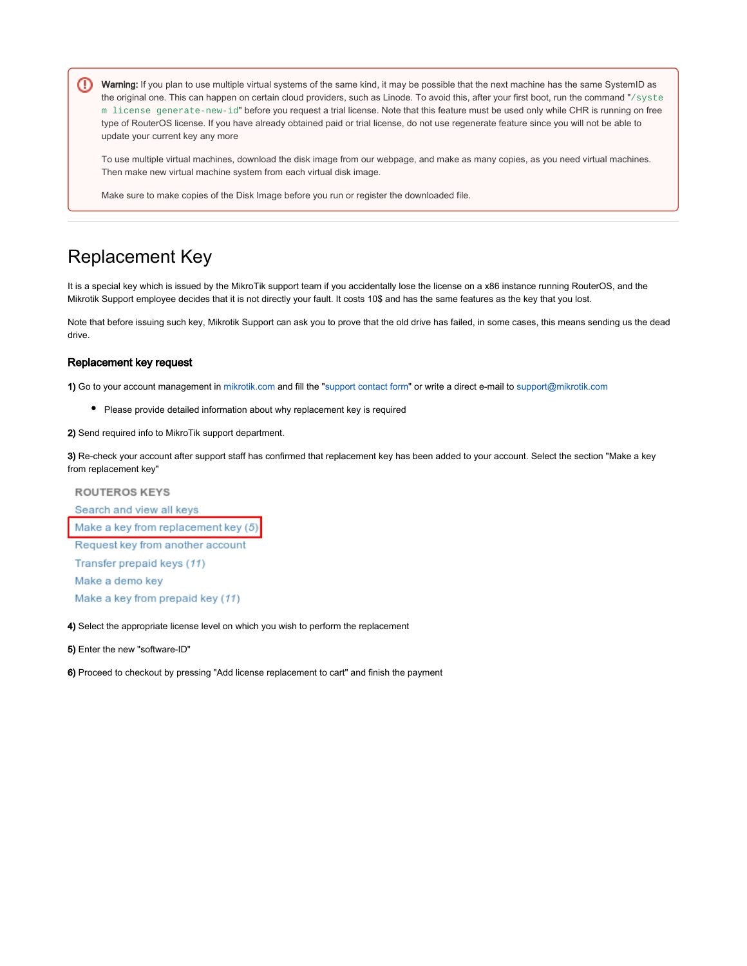⊕ Warning: If you plan to use multiple virtual systems of the same kind, it may be possible that the next machine has the same SystemID as the original one. This can happen on certain cloud providers, such as Linode. To avoid this, after your first boot, run the command "/syste m license generate-new-id" before you request a trial license. Note that this feature must be used only while CHR is running on free type of RouterOS license. If you have already obtained paid or trial license, do not use regenerate feature since you will not be able to update your current key any more

To use multiple virtual machines, download the disk image from our webpage, and make as many copies, as you need virtual machines. Then make new virtual machine system from each virtual disk image.

Make sure to make copies of the Disk Image before you run or register the downloaded file.

## Replacement Key

It is a special key which is issued by the MikroTik support team if you accidentally lose the license on a x86 instance running RouterOS, and the Mikrotik Support employee decides that it is not directly your fault. It costs 10\$ and has the same features as the key that you lost.

Note that before issuing such key, Mikrotik Support can ask you to prove that the old drive has failed, in some cases, this means sending us the dead drive.

#### Replacement key request

1) Go to your account management in [mikrotik.com](https://mikrotik.com) and fill the "[support contact form"](https://mikrotik.com/client/support) or write a direct e-mail to [support@mikrotik.com](mailto:support@mikrotik.com)

- Please provide detailed information about why replacement key is required
- 2) Send required info to MikroTik support department.

3) Re-check your account after support staff has confirmed that replacement key has been added to your account. Select the section "Make a key from replacement key"

**ROUTEROS KEYS** Search and view all keys Make a key from replacement key (5) Request key from another account Transfer prepaid keys (11) Make a demo key Make a key from prepaid key (11)

4) Select the appropriate license level on which you wish to perform the replacement

5) Enter the new "software-ID"

6) Proceed to checkout by pressing "Add license replacement to cart" and finish the payment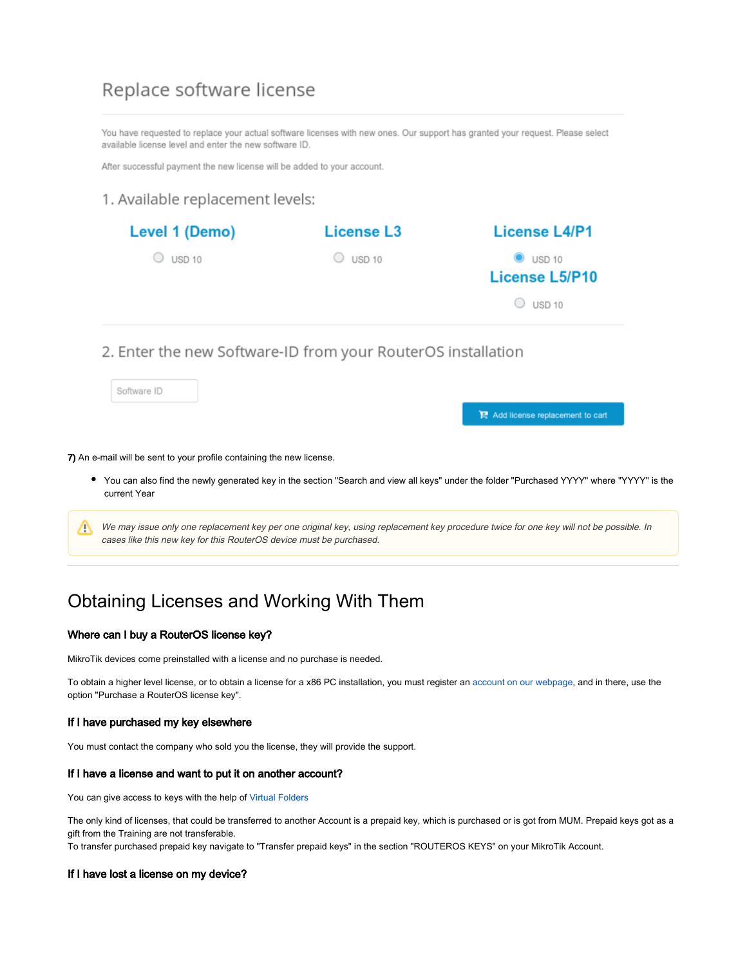### Replace software license

You have requested to replace your actual software licenses with new ones. Our support has granted your request. Please select available license level and enter the new software ID.

After successful payment the new license will be added to your account.

### 1. Available replacement levels:

| Level 1 (Demo) | <b>License L3</b> | <b>License L4/P1</b>                                           |
|----------------|-------------------|----------------------------------------------------------------|
| USD 10         | <b>USD 10</b>     | $\bullet$ USD 10<br><b>License L5/P10</b><br>$\bigcirc$ USD 10 |
|                |                   |                                                                |

### 2. Enter the new Software-ID from your RouterOS installation

Software ID

P Add license replacement to cart

7) An e-mail will be sent to your profile containing the new license.

- You can also find the newly generated key in the section "Search and view all keys" under the folder "Purchased YYYY" where "YYYY" is the current Year
- We may issue only one replacement key per one original key, using replacement key procedure twice for one key will not be possible. In cases like this new key for this RouterOS device must be purchased.

## Obtaining Licenses and Working With Them

#### Where can I buy a RouterOS license key?

MikroTik devices come preinstalled with a license and no purchase is needed.

To obtain a higher level license, or to obtain a license for a x86 PC installation, you must register an [account on our webpage,](https://www.mikrotik.com/client) and in there, use the option "Purchase a RouterOS license key".

#### If I have purchased my key elsewhere

You must contact the company who sold you the license, they will provide the support.

#### If I have a license and want to put it on another account?

You can give access to keys with the help of [Virtual Folders](https://wiki.mikrotik.com/wiki/Virtual_Folders)

The only kind of licenses, that could be transferred to another Account is a prepaid key, which is purchased or is got from MUM. Prepaid keys got as a gift from the Training are not transferable.

To transfer purchased prepaid key navigate to "Transfer prepaid keys" in the section "ROUTEROS KEYS" on your MikroTik Account.

#### If I have lost a license on my device?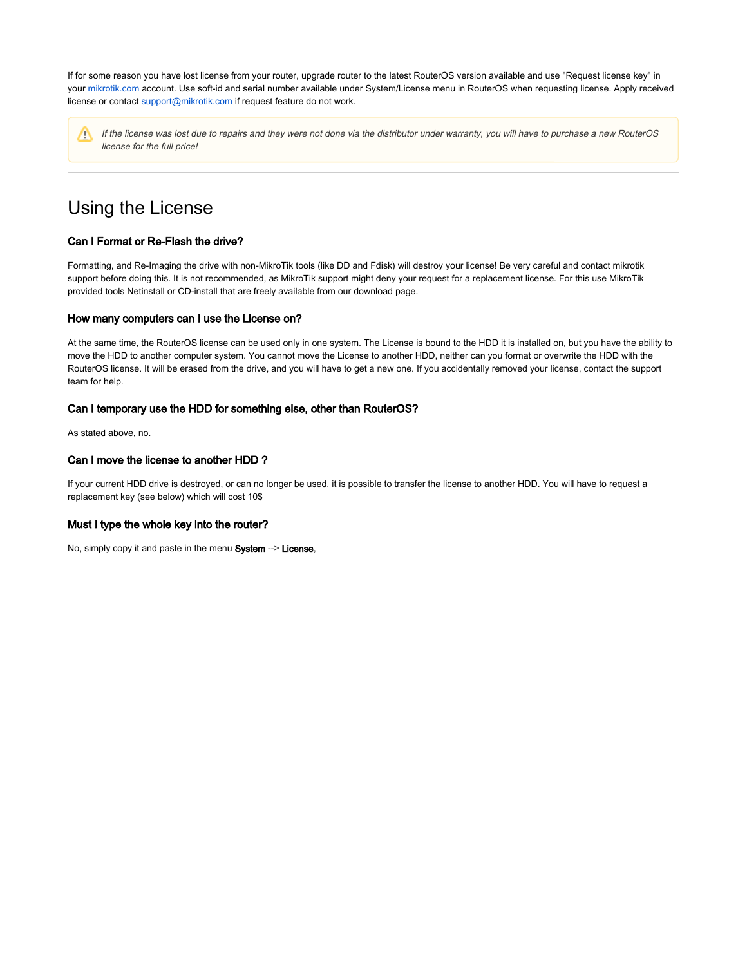If for some reason you have lost license from your router, upgrade router to the latest RouterOS version available and use "Request license key" in your [mikrotik.com](https://mikrotik.com) account. Use soft-id and serial number available under System/License menu in RouterOS when requesting license. Apply received license or contact [support@mikrotik.com](mailto:support@mikrotik.com) if request feature do not work.

Λ

If the license was lost due to repairs and they were not done via the distributor under warranty, you will have to purchase a new RouterOS license for the full price!

## Using the License

#### Can I Format or Re-Flash the drive?

Formatting, and Re-Imaging the drive with non-MikroTik tools (like DD and Fdisk) will destroy your license! Be very careful and contact mikrotik support before doing this. It is not recommended, as MikroTik support might deny your request for a replacement license. For this use MikroTik provided tools Netinstall or CD-install that are freely available from our download page.

#### How many computers can I use the License on?

At the same time, the RouterOS license can be used only in one system. The License is bound to the HDD it is installed on, but you have the ability to move the HDD to another computer system. You cannot move the License to another HDD, neither can you format or overwrite the HDD with the RouterOS license. It will be erased from the drive, and you will have to get a new one. If you accidentally removed your license, contact the support team for help.

#### Can I temporary use the HDD for something else, other than RouterOS?

As stated above, no.

#### Can I move the license to another HDD ?

If your current HDD drive is destroyed, or can no longer be used, it is possible to transfer the license to another HDD. You will have to request a replacement key (see below) which will cost 10\$

#### Must I type the whole key into the router?

No, simply copy it and paste in the menu System --> License,